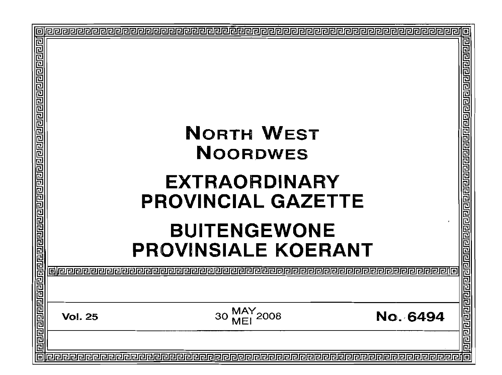| <u> बागवागवागवाणाराज्ञागवाग्नगरागणगणगणगणगणगणगणगणगणगणगण</u><br>NORTH WEST<br><b>NOORDWES</b><br><b>EXTRAORDINARY</b><br><b>PROVINCIAL GAZETTE</b><br><b>BUITENGEWONE</b><br><b>PROVINSIALE KOERANT</b> | खसबाह्य बाबा बाबा बाबा बाबा बाबा बाब<br>밀리리 |
|-------------------------------------------------------------------------------------------------------------------------------------------------------------------------------------------------------|---------------------------------------------|
| MAY<br>MEI 2008<br>No. 6494<br>30<br><b>Vol. 25</b>                                                                                                                                                   | तिराजनगणने न नगणने हो                       |
| 同                                                                                                                                                                                                     | 回                                           |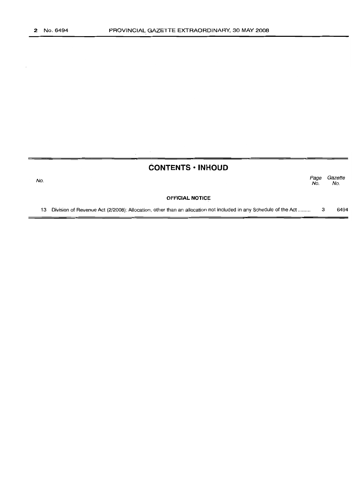No.

## **CONTENTS • INHOUD**

Page Gazette<br>No. No. No. No.

#### **OFFICIAL NOTICE**

13 Division of Revenue Act (2/2008): Allocation, other than an allocation not included in any Schedule of the Act ......... 3 6494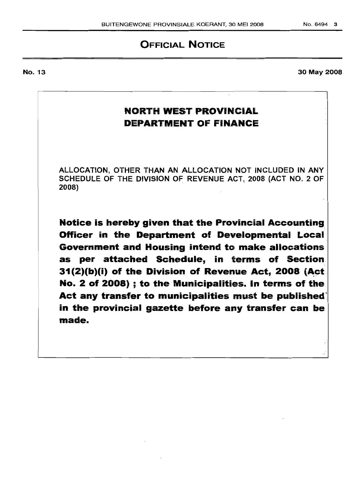# **OFFICIAL NOTICE**

No. 13

**NORTH WEST PROVINCIAL DEPARTMENT OF FINANCE**

ALLOCATION, OTHER THAN AN ALLOCATION NOT INCLUDED IN ANY SCHEDULE OF THE DIVISION OF REVENUE ACT, 2008 (ACT NO.2 OF 2008)

**Notice is hereby given that the Provincial Accounting Officer in the Department of Developmental Local. Government and Housing intend to make allocations as per attached Schedule, in terms of Section 31(2)(b)(i)** of the Division of Revenue Act, 2008 (Act. **No.2 of 2008) ; to the** Municipalities. In **terms of the Act any transfer to municipalities must be published in the provincial gazette before any transfer can be made.**

No.6494 3

30 May 2008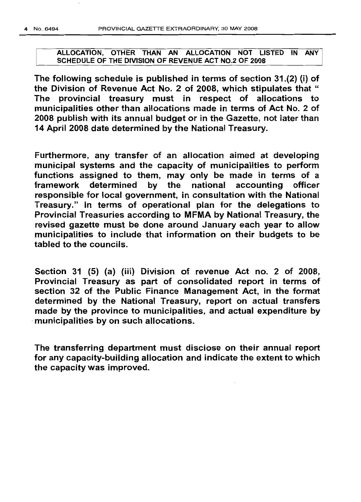### ALLOCATION, OTHER THAN AN ALLOCATION NOT LISTED IN ANY SCHEDULE OF THE DIVISION OF REVENUE ACT NO.2 OF 2008

The following schedule is published in terms of section 31.(2) (i) of the Division of Revenue Act No. 2 of 2008, which stipulates that " The provincial treasury must in respect of allocations to municipalities other than allocations made in terms of Act No.2 of 2008 publish with its annual budget or in the Gazette, not later than 14 April 2008 date determined by the National Treasury.

Furthermore, any transfer of an allocation aimed at developing municipal systems and the capacity of municipalities to perform functions assigned to them, may only be made in terms of a framework determined by the national accounting officer responsible for local government, in consultation with the National Treasury." In terms of operational plan for the delegations to Provincial Treasuries according to MFMA by National Treasury, the revised gazette must be done around January each year to allow municipalities to include that information on their budgets to be tabled to the councils.

Section 31 (5) (a) (iii) Division of revenue Act no. 2 of 2008, Provincial Treasury as part of consolidated report in terms of section 32 of the Public Finance Management Act, in the format determined by the National Treasury, report on actual transfers made by the province to municipalities, and actual expenditure by .municipalities by on such allocations.

The transferring department must disclose on their annual report for any capacity-building allocation and indicate the extent to which the capacity was improved.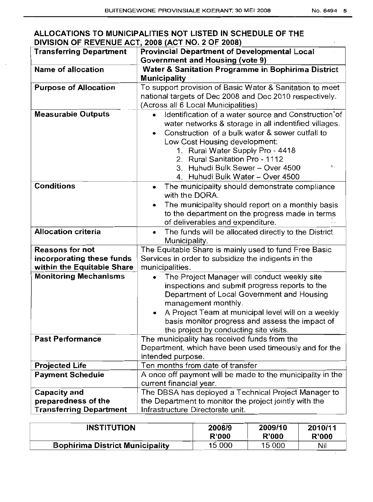## **ALLOCATIONS TO MUNICIPALITIES NOT LISTED IN SCHEDULE OF THE DIVISION OF REVENUE ACT, 2008 (ACT NO.2 OF 2008)**

| <b>Transferring Department</b> | Provincial Department of Developmental Local                                                                                                                                                                                                                                                                           |
|--------------------------------|------------------------------------------------------------------------------------------------------------------------------------------------------------------------------------------------------------------------------------------------------------------------------------------------------------------------|
|                                | <b>Government and Housing (vote 9)</b>                                                                                                                                                                                                                                                                                 |
| <b>Name of allocation</b>      | Water & Sanitation Programme in Bophirima District                                                                                                                                                                                                                                                                     |
|                                | <b>Municipality</b>                                                                                                                                                                                                                                                                                                    |
| <b>Purpose of Allocation</b>   | To support provision of Basic Water & Sanitation to meet<br>national targets of Dec 2008 and Dec 2010 respectively.                                                                                                                                                                                                    |
|                                | (Across all 6 Local Municipalities)                                                                                                                                                                                                                                                                                    |
| <b>Measurable Outputs</b>      | Identification of a water source and Construction' of<br>water networks & storage in all indentified villages.<br>Construction of a bulk water & sewer outfall to<br>Low Cost Housing development:<br>1. Rural Water Supply Pro - 4418<br>2. Rural Sanitation Pro - 1112<br>1.                                         |
|                                | 3. Huhudi Bulk Sewer - Over 4500<br>4. Huhudi Bulk Water - Over 4500                                                                                                                                                                                                                                                   |
| <b>Conditions</b>              | The municipality should demonstrate compliance<br>with the DORA.<br>The municipality should report on a monthly basis                                                                                                                                                                                                  |
|                                | to the department on the progress made in terms<br>of deliverables and expenditure.                                                                                                                                                                                                                                    |
| <b>Allocation criteria</b>     | The funds will be allocated directly to the District<br>۰<br>Municipality.                                                                                                                                                                                                                                             |
| <b>Reasons for not</b>         | The Equitable Share is mainly used to fund Free Basic                                                                                                                                                                                                                                                                  |
| incorporating these funds      | Services in order to subsidize the indigents in the                                                                                                                                                                                                                                                                    |
| within the Equitable Share     | municipalities.                                                                                                                                                                                                                                                                                                        |
| <b>Monitoring Mechanisms</b>   | The Project Manager will conduct weekly site<br>inspections and submit progress reports to the<br>Department of Local Government and Housing<br>management monthly.<br>A Project Team at municipal level will on a weekly<br>basis monitor progress and assess the impact of<br>the project by conducting site visits. |
| <b>Past Performance</b>        | The municipality has received funds from the                                                                                                                                                                                                                                                                           |
|                                | Department, which have been used timeously and for the<br>intended purpose.                                                                                                                                                                                                                                            |
| <b>Projected Life</b>          | Ten months from date of transfer                                                                                                                                                                                                                                                                                       |
| <b>Payment Schedule</b>        | A once off payment will be made to the municipality in the<br>current financial year.                                                                                                                                                                                                                                  |
| <b>Capacity and</b>            | The DBSA has deployed a Technical Project Manager to                                                                                                                                                                                                                                                                   |
| preparedness of the            | the Department to monitor the project jointly with the                                                                                                                                                                                                                                                                 |
| <b>Transferring Department</b> | Infrastructure Directorate unit.                                                                                                                                                                                                                                                                                       |

| <b>INSTITUTION</b>                     | 2008/9       | 2009/10 | 2010/11 |
|----------------------------------------|--------------|---------|---------|
|                                        | <b>R'000</b> | R'000   | R'000   |
| <b>Bophirima District Municipality</b> | 15 000       | 15 000  | Nil     |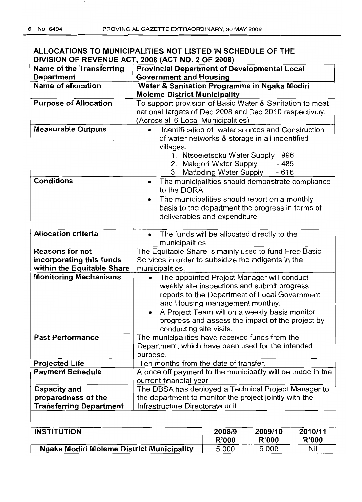| ALLOCATIONS TO MUNICIPALITIES NOT LISTED IN SCHEDULE OF THE |  |
|-------------------------------------------------------------|--|
| DIVISION OF REVENUE ACT, 2008 (ACT NO. 2 OF 2008)           |  |

| <b>Name of the Transferring</b>           | <b>Provincial Department of Developmental Local</b>                                        |                                                  |              |              |
|-------------------------------------------|--------------------------------------------------------------------------------------------|--------------------------------------------------|--------------|--------------|
| <b>Department</b>                         | <b>Government and Housing</b>                                                              |                                                  |              |              |
| <b>Name of allocation</b>                 | Water & Sanitation Programme in Ngaka Modiri                                               |                                                  |              |              |
|                                           | <b>Moleme District Municipality</b>                                                        |                                                  |              |              |
| <b>Purpose of Allocation</b>              | To support provision of Basic Water & Sanitation to meet                                   |                                                  |              |              |
|                                           | national targets of Dec 2008 and Dec 2010 respectively.                                    |                                                  |              |              |
|                                           | (Across all 6 Local Municipalities)                                                        |                                                  |              |              |
| <b>Measurable Outputs</b>                 |                                                                                            | Identification of water sources and Construction |              |              |
|                                           |                                                                                            | of water networks & storage in all indentified   |              |              |
|                                           | villages:                                                                                  |                                                  |              |              |
|                                           |                                                                                            | 1. Ntsoeletsoku Water Supply - 996               |              |              |
|                                           |                                                                                            | 2. Makgori Water Supply                          | - 485        |              |
|                                           |                                                                                            | 3. Matloding Water Supply                        | $-616$       |              |
| <b>Conditions</b>                         | $\bullet$<br>to the DORA                                                                   | The municipalities should demonstrate compliance |              |              |
|                                           |                                                                                            | The municipalities should report on a monthly    |              |              |
|                                           |                                                                                            | basis to the department the progress in terms of |              |              |
|                                           |                                                                                            | deliverables and expenditure                     |              |              |
|                                           |                                                                                            |                                                  |              |              |
| <b>Allocation criteria</b>                | $\bullet$                                                                                  | The funds will be allocated directly to the      |              |              |
|                                           | municipalities.                                                                            |                                                  |              |              |
| <b>Reasons for not</b>                    | The Equitable Share is mainly used to fund Free Basic                                      |                                                  |              |              |
| incorporating this funds                  | Services in order to subsidize the indigents in the                                        |                                                  |              |              |
| within the Equitable Share                | municipalities.                                                                            |                                                  |              |              |
| <b>Monitoring Mechanisms</b>              | $\bullet$                                                                                  | The appointed Project Manager will conduct       |              |              |
|                                           |                                                                                            | weekly site inspections and submit progress      |              |              |
|                                           |                                                                                            | reports to the Department of Local Government    |              |              |
|                                           |                                                                                            | and Housing management monthly.                  |              |              |
|                                           | $\bullet$                                                                                  | A Project Team will on a weekly basis monitor    |              |              |
|                                           |                                                                                            | progress and assess the impact of the project by |              |              |
|                                           | conducting site visits.                                                                    |                                                  |              |              |
| <b>Past Performance</b>                   | The municipalities have received funds from the                                            |                                                  |              |              |
|                                           | Department, which have been used for the intended                                          |                                                  |              |              |
|                                           | purpose.                                                                                   |                                                  |              |              |
| <b>Projected Life</b>                     | Ten months from the date of transfer.                                                      |                                                  |              |              |
| <b>Payment Schedule</b>                   | A once off payment to the municipality will be made in the                                 |                                                  |              |              |
|                                           | current financial year                                                                     |                                                  |              |              |
| Capacity and<br>preparedness of the       | The DBSA has deployed a Technical Project Manager to                                       |                                                  |              |              |
| <b>Transferring Department</b>            | the department to monitor the project jointly with the<br>Infrastructure Directorate unit. |                                                  |              |              |
|                                           |                                                                                            |                                                  |              |              |
|                                           |                                                                                            |                                                  |              |              |
| <b>INSTITUTION</b>                        |                                                                                            | 2008/9                                           | 2009/10      | 2010/11      |
|                                           |                                                                                            | <b>R'000</b>                                     | <b>R'000</b> | <b>R'000</b> |
| Ngaka Modiri Moleme District Municipality |                                                                                            | 5 0 0 0                                          | 5 0 0 0      | Nil          |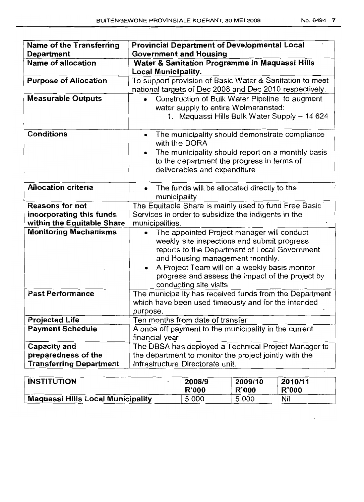| Name of the Transferring       | <b>Provincial Department of Developmental Local</b>                                                                                                                                                                                                                                                          |
|--------------------------------|--------------------------------------------------------------------------------------------------------------------------------------------------------------------------------------------------------------------------------------------------------------------------------------------------------------|
| Department                     | <b>Government and Housing</b>                                                                                                                                                                                                                                                                                |
| <b>Name of allocation</b>      | Water & Sanitation Programme in Maquassi Hills                                                                                                                                                                                                                                                               |
|                                | <b>Local Municipality.</b>                                                                                                                                                                                                                                                                                   |
| <b>Purpose of Allocation</b>   | To support provision of Basic Water & Sanitation to meet<br>national targets of Dec 2008 and Dec 2010 respectively.                                                                                                                                                                                          |
| <b>Measurable Outputs</b>      | Construction of Bulk Water Pipeline to augment<br>water supply to entire Wolmaranstad:<br>1. Maguassi Hills Bulk Water Supply - 14 624                                                                                                                                                                       |
| <b>Conditions</b>              | The municipality should demonstrate compliance<br>$\bullet$<br>with the DORA                                                                                                                                                                                                                                 |
|                                | The municipality should report on a monthly basis<br>to the department the progress in terms of<br>deliverables and expenditure                                                                                                                                                                              |
| <b>Allocation criteria</b>     | The funds will be allocated directly to the<br>municipality                                                                                                                                                                                                                                                  |
| <b>Reasons for not</b>         | The Equitable Share is mainly used to fund Free Basic                                                                                                                                                                                                                                                        |
| incorporating this funds       | Services in order to subsidize the indigents in the                                                                                                                                                                                                                                                          |
| within the Equitable Share     | municipalities.                                                                                                                                                                                                                                                                                              |
| <b>Monitoring Mechanisms</b>   | The appointed Project manager will conduct<br>weekly site inspections and submit progress<br>reports to the Department of Local Government<br>and Housing management monthly.<br>A Project Team will on a weekly basis monitor<br>progress and assess the impact of the project by<br>conducting site visits |
| <b>Past Performance</b>        | The municipality has received funds from the Department<br>which have been used timeously and for the intended<br>purpose.                                                                                                                                                                                   |
| <b>Projected Life</b>          | Ten months from date of transfer                                                                                                                                                                                                                                                                             |
| <b>Payment Schedule</b>        | A once off payment to the municipality in the current<br>financial year                                                                                                                                                                                                                                      |
| Capacity and                   | The DBSA has deployed a Technical Project Manager to                                                                                                                                                                                                                                                         |
| preparedness of the            | the department to monitor the project jointly with the                                                                                                                                                                                                                                                       |
| <b>Transferring Department</b> | Infrastructure Directorate unit.                                                                                                                                                                                                                                                                             |

| <b>INSTITUTION</b>                       | 2008/9       | 2009/10      | 2010/11 |
|------------------------------------------|--------------|--------------|---------|
|                                          | <b>R'000</b> | <b>R'000</b> | R'000   |
| <b>Maquassi Hills Local Municipality</b> | 5 000        | 5 0 0 0      | Nil     |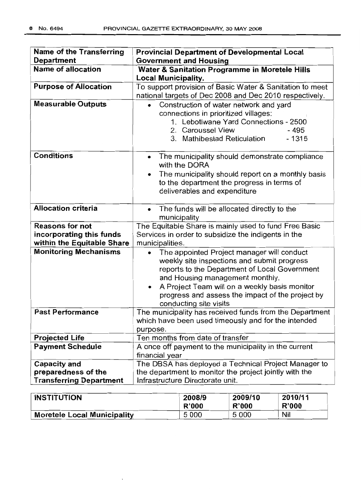| <b>Name of the Transferring</b> | <b>Provincial Department of Developmental Local</b>                          |
|---------------------------------|------------------------------------------------------------------------------|
| <b>Department</b>               | <b>Government and Housing</b>                                                |
| <b>Name of allocation</b>       | Water & Sanitation Programme in Moretele Hills                               |
|                                 | <b>Local Municipality.</b>                                                   |
| <b>Purpose of Allocation</b>    | To support provision of Basic Water & Sanitation to meet                     |
|                                 | national targets of Dec 2008 and Dec 2010 respectively.                      |
| <b>Measurable Outputs</b>       | Construction of water network and yard                                       |
|                                 | connections in prioritized villages:                                         |
|                                 | 1. Lebotlwane Yard Connections - 2500                                        |
|                                 | 2. Caroussel View<br>$-495$                                                  |
|                                 | 3. Mathibestad Reticulation<br>$-1315$                                       |
| <b>Conditions</b>               | The municipality should demonstrate compliance<br>$\bullet$<br>with the DORA |
|                                 | The municipality should report on a monthly basis                            |
|                                 | to the department the progress in terms of                                   |
|                                 | deliverables and expenditure                                                 |
|                                 |                                                                              |
| <b>Allocation criteria</b>      | The funds will be allocated directly to the<br>$\bullet$<br>municipality     |
| <b>Reasons for not</b>          | The Equitable Share is mainly used to fund Free Basic                        |
| incorporating this funds        | Services in order to subsidize the indigents in the                          |
| within the Equitable Share      | municipalities.                                                              |
| <b>Monitoring Mechanisms</b>    | The appointed Project manager will conduct                                   |
|                                 | weekly site inspections and submit progress                                  |
|                                 | reports to the Department of Local Government                                |
|                                 | and Housing management monthly.                                              |
|                                 | A Project Team will on a weekly basis monitor                                |
|                                 | progress and assess the impact of the project by                             |
|                                 | conducting site visits                                                       |
| <b>Past Performance</b>         | The municipality has received funds from the Department                      |
|                                 | which have been used timeously and for the intended                          |
|                                 | purpose.                                                                     |
| <b>Projected Life</b>           | Ten months from date of transfer                                             |
| <b>Payment Schedule</b>         | A once off payment to the municipality in the current                        |
| <b>Capacity and</b>             | financial year<br>The DBSA has deployed a Technical Project Manager to       |
| preparedness of the             | the department to monitor the project jointly with the                       |
| <b>Transferring Department</b>  | Infrastructure Directorate unit.                                             |

| <b>INSTITUTION</b>          | 2008/9       | 2009/10 | 2010/11      |
|-----------------------------|--------------|---------|--------------|
|                             | <b>R'000</b> | R'000   | <b>R'000</b> |
| Moretele Local Municipality | 5 0 0 0      | 5 0 0 0 | Nil          |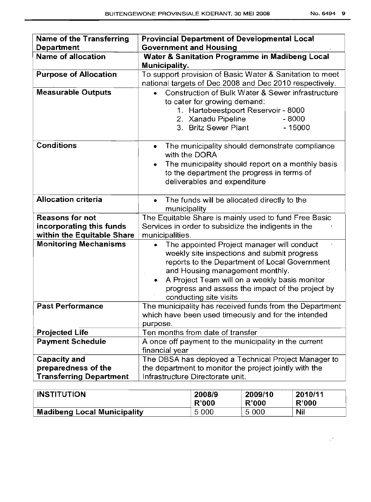$\mathcal{Q}^{(0)}$ 

| <b>Name of the Transferring</b><br>Department | <b>Provincial Department of Developmental Local</b><br><b>Government and Housing</b>                                                                                                                                                                                                                              |
|-----------------------------------------------|-------------------------------------------------------------------------------------------------------------------------------------------------------------------------------------------------------------------------------------------------------------------------------------------------------------------|
| <b>Name of allocation</b>                     | Water & Sanitation Programme in Madibeng Local<br>Municipality.                                                                                                                                                                                                                                                   |
| <b>Purpose of Allocation</b>                  | To support provision of Basic Water & Sanitation to meet<br>national targets of Dec 2008 and Dec 2010 respectively.                                                                                                                                                                                               |
| <b>Measurable Outputs</b>                     | Construction of Bulk Water & Sewer infrastructure<br>to cater for growing demand:<br>1. Hartebeestpoort Reservoir - 8000<br>2. Xanadu Pipeline<br>$-8000$<br>3. Britz Sewer Plant<br>$-15000$                                                                                                                     |
| <b>Conditions</b>                             | The municipality should demonstrate compliance<br>۰<br>with the DORA                                                                                                                                                                                                                                              |
|                                               | The municipality should report on a monthly basis<br>to the department the progress in terms of<br>deliverables and expenditure                                                                                                                                                                                   |
| <b>Allocation criteria</b>                    | The funds will be allocated directly to the<br>municipality                                                                                                                                                                                                                                                       |
| <b>Reasons for not</b>                        | The Equitable Share is mainly used to fund Free Basic                                                                                                                                                                                                                                                             |
| incorporating this funds                      | Services in order to subsidize the indigents in the                                                                                                                                                                                                                                                               |
| within the Equitable Share                    | municipalities.                                                                                                                                                                                                                                                                                                   |
| <b>Monitoring Mechanisms</b>                  | The appointed Project manager will conduct<br>weekly site inspections and submit progress<br>reports to the Department of Local Government<br>and Housing management monthly.<br>A Project Team will on a weekly basis monitor<br>٠<br>progress and assess the impact of the project by<br>conducting site visits |
| <b>Past Performance</b>                       | The municipality has received funds from the Department<br>which have been used timeously and for the intended<br>purpose.                                                                                                                                                                                        |
| <b>Projected Life</b>                         | Ten months from date of transfer                                                                                                                                                                                                                                                                                  |
| <b>Payment Schedule</b>                       | A once off payment to the municipality in the current<br>financial year                                                                                                                                                                                                                                           |
| <b>Capacity and</b>                           | The DBSA has deployed a Technical Project Manager to                                                                                                                                                                                                                                                              |
| preparedness of the                           | the department to monitor the project jointly with the                                                                                                                                                                                                                                                            |
| <b>Transferring Department</b>                | Infrastructure Directorate unit.                                                                                                                                                                                                                                                                                  |

| <b>INSTITUTION</b>            | 2008/9  | 2009/10 | 2010/11    |
|-------------------------------|---------|---------|------------|
|                               | R'000   | R'000   | R'000      |
| Madibeng Local Municipality . | 5 0 0 0 | 5 0 0 0 | <b>Nil</b> |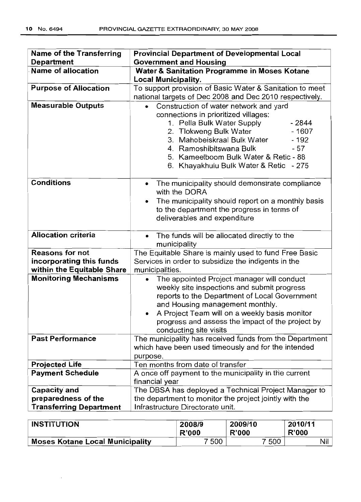$\bar{z}$ 

| <b>Name of the Transferring</b><br><b>Department</b>                             | <b>Provincial Department of Developmental Local</b><br><b>Government and Housing</b>                                                                                                                                                                                                                                                     |
|----------------------------------------------------------------------------------|------------------------------------------------------------------------------------------------------------------------------------------------------------------------------------------------------------------------------------------------------------------------------------------------------------------------------------------|
| Name of allocation                                                               | Water & Sanitation Programme in Moses Kotane<br><b>Local Municipality.</b>                                                                                                                                                                                                                                                               |
| <b>Purpose of Allocation</b>                                                     | To support provision of Basic Water & Sanitation to meet<br>national targets of Dec 2008 and Dec 2010 respectively.                                                                                                                                                                                                                      |
| <b>Measurable Outputs</b>                                                        | Construction of water network and yard<br>$\bullet$<br>connections in prioritized villages:<br>1. Pella Bulk Water Supply<br>$-2844$<br>$-1607$<br>2. Tlokweng Bulk Water<br>3. Mahobeiskraal Bulk Water<br>$-192$<br>4. Ramoshibitswana Bulk<br>- 57<br>5. Kameelboom Bulk Water & Retic - 88<br>6. Khayakhulu Bulk Water & Retic - 275 |
| <b>Conditions</b>                                                                | The municipality should demonstrate compliance<br>$\bullet$<br>with the DORA<br>The municipality should report on a monthly basis<br>to the department the progress in terms of<br>deliverables and expenditure                                                                                                                          |
| <b>Allocation criteria</b>                                                       | The funds will be allocated directly to the<br>$\bullet$<br>municipality                                                                                                                                                                                                                                                                 |
| <b>Reasons for not</b><br>incorporating this funds<br>within the Equitable Share | The Equitable Share is mainly used to fund Free Basic<br>Services in order to subsidize the indigents in the<br>municipalities.                                                                                                                                                                                                          |
| <b>Monitoring Mechanisms</b>                                                     | The appointed Project manager will conduct<br>weekly site inspections and submit progress<br>reports to the Department of Local Government<br>and Housing management monthly.<br>A Project Team will on a weekly basis monitor<br>progress and assess the impact of the project by<br>conducting site visits                             |
| <b>Past Performance</b>                                                          | The municipality has received funds from the Department<br>which have been used timeously and for the intended<br>purpose.                                                                                                                                                                                                               |
| <b>Projected Life</b>                                                            | Ten months from date of transfer                                                                                                                                                                                                                                                                                                         |
| <b>Payment Schedule</b>                                                          | A once off payment to the municipality in the current<br>financial year                                                                                                                                                                                                                                                                  |
| <b>Capacity and</b><br>preparedness of the<br><b>Transferring Department</b>     | The DBSA has deployed a Technical Project Manager to<br>the department to monitor the project jointly with the<br>Infrastructure Directorate unit.                                                                                                                                                                                       |

| <b>INSTITUTION</b>                     | 2008/9 | 2009/10 | 2010/11      |
|----------------------------------------|--------|---------|--------------|
|                                        | R'000  | R'000   | <b>R'000</b> |
| <b>Moses Kotane Local Municipality</b> | 7 500  | 7 500   | Nil          |